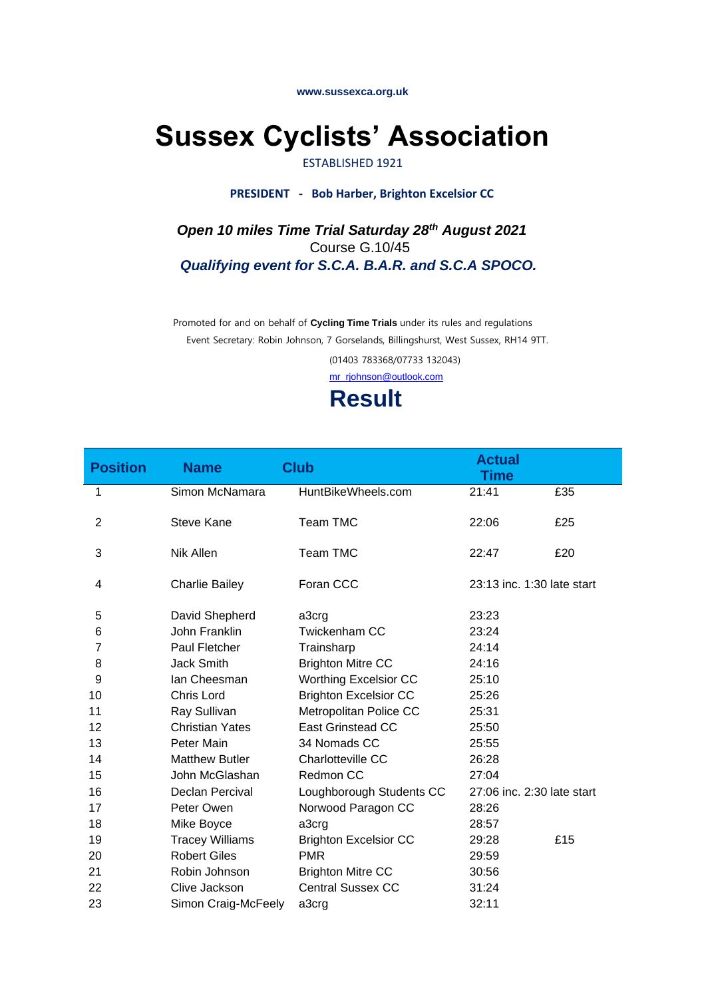**www.sussexca.org.uk**

# **Sussex Cyclists' Association**

### ESTABLISHED 1921

#### **PRESIDENT - Bob Harber, Brighton Excelsior CC**

 *Open 10 miles Time Trial Saturday 28 th August 2021* Course G.10/45  *Qualifying event for S.C.A. B.A.R. and S.C.A SPOCO.* 

> Promoted for and on behalf of **Cycling Time Trials** under its rules and regulations Event Secretary: Robin Johnson, 7 Gorselands, Billingshurst, West Sussex, RH14 9TT. (01403 783368/07733 132043) mr\_rjohnson@outlook.com

> > **Result**

| <b>Position</b> | <b>Name</b>            | <b>Club</b>                  | <b>Actual</b><br><b>Time</b> |     |
|-----------------|------------------------|------------------------------|------------------------------|-----|
| 1               | Simon McNamara         | HuntBikeWheels.com           | 21:41                        | £35 |
| $\overline{2}$  | Steve Kane             | Team TMC                     | 22:06                        | £25 |
| 3               | Nik Allen              | <b>Team TMC</b>              | 22:47                        | £20 |
| 4               | <b>Charlie Bailey</b>  | Foran CCC                    | 23:13 inc. 1:30 late start   |     |
| 5               | David Shepherd         | a3crg                        | 23:23                        |     |
| 6               | John Franklin          | <b>Twickenham CC</b>         | 23:24                        |     |
| 7               | Paul Fletcher          | Trainsharp                   | 24:14                        |     |
| 8               | Jack Smith             | <b>Brighton Mitre CC</b>     | 24:16                        |     |
| 9               | lan Cheesman           | <b>Worthing Excelsior CC</b> | 25:10                        |     |
| 10              | Chris Lord             | <b>Brighton Excelsior CC</b> | 25:26                        |     |
| 11              | Ray Sullivan           | Metropolitan Police CC       | 25:31                        |     |
| 12              | <b>Christian Yates</b> | East Grinstead CC            | 25:50                        |     |
| 13              | Peter Main             | 34 Nomads CC                 | 25:55                        |     |
| 14              | <b>Matthew Butler</b>  | Charlotteville CC            | 26:28                        |     |
| 15              | John McGlashan         | Redmon CC                    | 27:04                        |     |
| 16              | Declan Percival        | Loughborough Students CC     | 27:06 inc. 2:30 late start   |     |
| 17              | Peter Owen             | Norwood Paragon CC           | 28:26                        |     |
| 18              | Mike Boyce             | a3crg                        | 28:57                        |     |
| 19              | <b>Tracey Williams</b> | <b>Brighton Excelsior CC</b> | 29:28                        | £15 |
| 20              | <b>Robert Giles</b>    | <b>PMR</b>                   | 29:59                        |     |
| 21              | Robin Johnson          | <b>Brighton Mitre CC</b>     | 30:56                        |     |
| 22              | Clive Jackson          | <b>Central Sussex CC</b>     | 31:24                        |     |
| 23              | Simon Craig-McFeely    | a3crg                        | 32:11                        |     |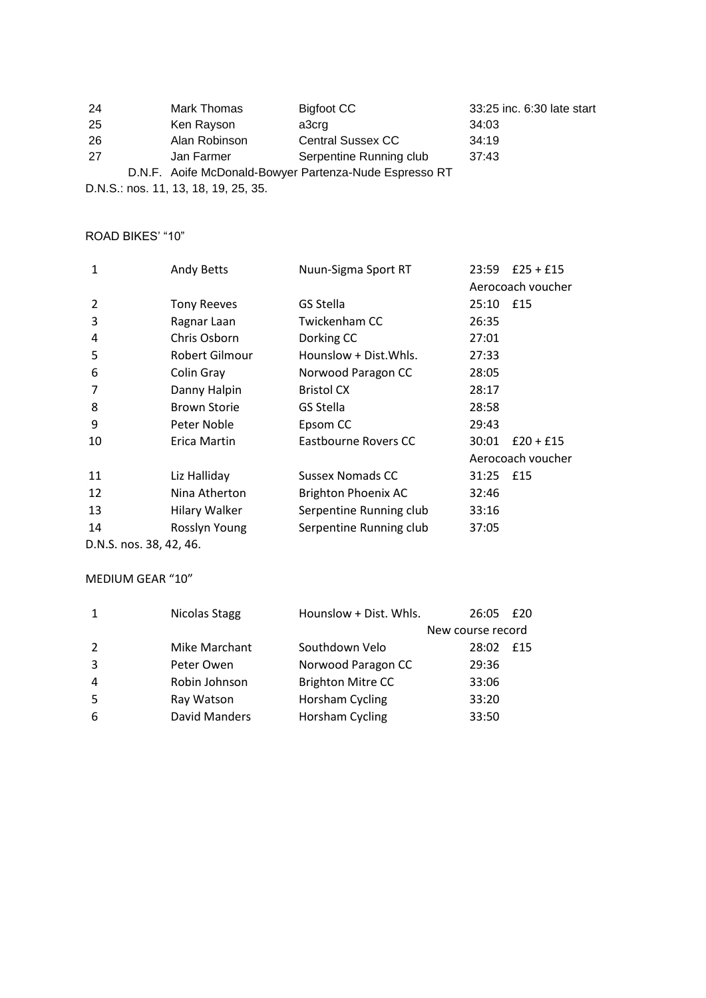| 24  | Mark Thomas   | Bigfoot CC                                             | 33:25 inc. 6:30 late start |
|-----|---------------|--------------------------------------------------------|----------------------------|
| -25 | Ken Rayson    | a3crg                                                  | 34:03                      |
| 26  | Alan Robinson | <b>Central Sussex CC</b>                               | 34:19                      |
| 27  | Jan Farmer    | Serpentine Running club                                | 37:43                      |
|     |               | D.N.F. Aoife McDonald-Bowyer Partenza-Nude Espresso RT |                            |

D.N.S.: nos. 11, 13, 18, 19, 25, 35.

## ROAD BIKES' "10"

| $\mathbf{1}$   | <b>Andy Betts</b>    | Nuun-Sigma Sport RT        | 23:59     | $£25 + £15$       |
|----------------|----------------------|----------------------------|-----------|-------------------|
|                |                      |                            |           | Aerocoach voucher |
| $\overline{2}$ | <b>Tony Reeves</b>   | GS Stella                  | 25:10 £15 |                   |
| 3              | Ragnar Laan          | Twickenham CC              | 26:35     |                   |
| 4              | Chris Osborn         | Dorking CC                 | 27:01     |                   |
| 5              | Robert Gilmour       | Hounslow + Dist. Whls.     | 27:33     |                   |
| 6              | Colin Gray           | Norwood Paragon CC         | 28:05     |                   |
| 7              | Danny Halpin         | <b>Bristol CX</b>          | 28:17     |                   |
| 8              | <b>Brown Storie</b>  | GS Stella                  | 28:58     |                   |
| 9              | Peter Noble          | Epsom CC                   | 29:43     |                   |
| 10             | Erica Martin         | Eastbourne Rovers CC       | 30:01     | $£20 + £15$       |
|                |                      |                            |           | Aerocoach voucher |
| 11             | Liz Halliday         | Sussex Nomads CC           | 31:25 £15 |                   |
| 12             | Nina Atherton        | <b>Brighton Phoenix AC</b> | 32:46     |                   |
| 13             | <b>Hilary Walker</b> | Serpentine Running club    | 33:16     |                   |
| 14             | Rosslyn Young        | Serpentine Running club    | 37:05     |                   |
| -              |                      |                            |           |                   |

D.N.S. nos. 38, 42, 46.

## MEDIUM GEAR "10"

| $\mathbf{1}$   | Nicolas Stagg | Hounslow + Dist. Whls.   | 26:05             | £20 |
|----------------|---------------|--------------------------|-------------------|-----|
|                |               |                          | New course record |     |
| $\overline{2}$ | Mike Marchant | Southdown Velo           | 28:02             | £15 |
| 3              | Peter Owen    | Norwood Paragon CC       | 29:36             |     |
| 4              | Robin Johnson | <b>Brighton Mitre CC</b> | 33:06             |     |
| -5             | Ray Watson    | Horsham Cycling          | 33:20             |     |
| 6              | David Manders | Horsham Cycling          | 33:50             |     |